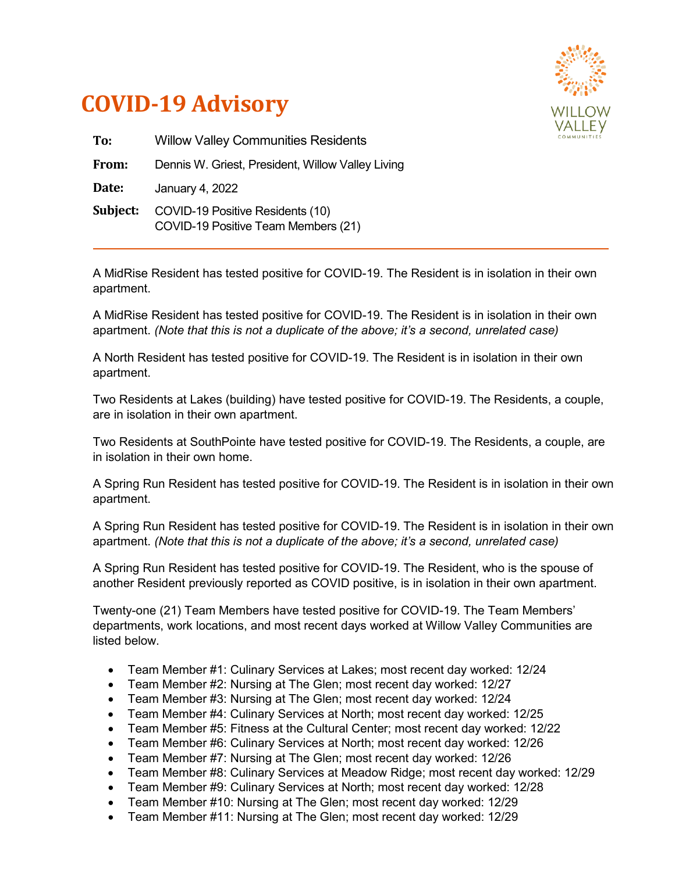



| To:      | <b>Willow Valley Communities Residents</b>                              |
|----------|-------------------------------------------------------------------------|
| From:    | Dennis W. Griest, President, Willow Valley Living                       |
| Date:    | January 4, 2022                                                         |
| Subject: | COVID-19 Positive Residents (10)<br>COVID-19 Positive Team Members (21) |

A MidRise Resident has tested positive for COVID-19. The Resident is in isolation in their own apartment.

A MidRise Resident has tested positive for COVID-19. The Resident is in isolation in their own apartment. *(Note that this is not a duplicate of the above; it's a second, unrelated case)*

A North Resident has tested positive for COVID-19. The Resident is in isolation in their own apartment.

Two Residents at Lakes (building) have tested positive for COVID-19. The Residents, a couple, are in isolation in their own apartment.

Two Residents at SouthPointe have tested positive for COVID-19. The Residents, a couple, are in isolation in their own home.

A Spring Run Resident has tested positive for COVID-19. The Resident is in isolation in their own apartment.

A Spring Run Resident has tested positive for COVID-19. The Resident is in isolation in their own apartment. *(Note that this is not a duplicate of the above; it's a second, unrelated case)*

A Spring Run Resident has tested positive for COVID-19. The Resident, who is the spouse of another Resident previously reported as COVID positive, is in isolation in their own apartment.

Twenty-one (21) Team Members have tested positive for COVID-19. The Team Members' departments, work locations, and most recent days worked at Willow Valley Communities are listed below.

- Team Member #1: Culinary Services at Lakes; most recent day worked: 12/24
- Team Member #2: Nursing at The Glen; most recent day worked: 12/27
- Team Member #3: Nursing at The Glen; most recent day worked: 12/24
- Team Member #4: Culinary Services at North; most recent day worked: 12/25
- Team Member #5: Fitness at the Cultural Center; most recent day worked: 12/22
- Team Member #6: Culinary Services at North; most recent day worked: 12/26
- Team Member #7: Nursing at The Glen; most recent day worked: 12/26
- Team Member #8: Culinary Services at Meadow Ridge; most recent day worked: 12/29
- Team Member #9: Culinary Services at North; most recent day worked: 12/28
- Team Member #10: Nursing at The Glen; most recent day worked: 12/29
- Team Member #11: Nursing at The Glen; most recent day worked: 12/29